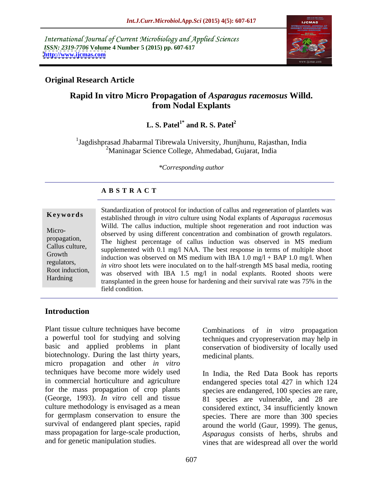International Journal of Current Microbiology and Applied Sciences *ISSN: 2319-7706* **Volume 4 Number 5 (2015) pp. 607-617 <http://www.ijcmas.com>**



### **Original Research Article**

# **Rapid In vitro Micro Propagation of** *Asparagus racemosus* **Willd. from Nodal Explants**

### $L.S.$  Patel<sup>1\*</sup> and R. S. Patel<sup>2</sup> **and R. S. Patel<sup>2</sup>**

<sup>1</sup>Jagdishprasad Jhabarmal Tibrewala University, Jhunjhunu, Rajasthan, India 2Maninagar Science College, Ahmedabad, Gujarat, India

*\*Corresponding author*

### **A B S T R A C T**

Hardning

Standardization of protocol for induction of callus and regeneration of plantlets was established through *in vitro* culture using Nodal explants of *Asparagus racemosus* **Ke ywo rds** Willd. The callus induction, multiple shoot regeneration and root induction was Micro-<br>observed by using different concentration and combination of growth regulators. propagation, The highest percentage of callus induction was observed in MS medium Callus culture, supplemented with 0.1 mg/l NAA. The best response in terms of multiple shoot Growth induction was observed on MS medium with IBA 1.0 mg/l + BAP 1.0 mg/l. When *in vitro* shoot lets were inoculated on to the half-strength MS basal media, rooting Root induction, was observed with IBA 1.5 mg/l in nodal explants. Rooted shoots were transplanted in the green house for hardening and their survival rate was 75% in the field condition.

# **Introduction**

Plant tissue culture techniques have become a powerful tool for studying and solving basic and applied problems in plant biotechnology. During the last thirty years, micro propagation and other *in vitro* techniques have become more widely used In India, the Red Data Book has reports in commercial horticulture and agriculture endangered species total 427 in which 124 for the mass propagation of crop plants (George, 1993). *In vitro* cell and tissue 81 species are vulnerable, and 28 are culture methodology is envisaged as a mean for germplasm conservation to ensure the species. There are more than 300 species survival of endangered plant species, rapid around the world (Gaur, 1999). The genus, mass propagation for large-scale production,

Combinations of *in vitro* propagation techniques and cryopreservation may help in conservation of biodiversity of locally used medicinal plants.

and for genetic manipulation studies. vines that are widespread all over the world species are endangered, 100 species are rare, considered extinct, 34 insufficiently known *Asparagus* consists of herbs, shrubs and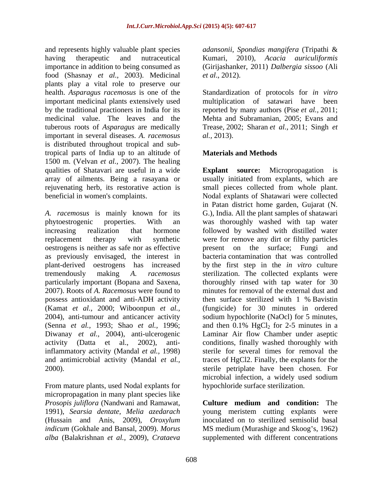and represents highly valuable plant species *adansonii*, *Spondias mangifera* (Tripathi & having therapeutic and nutraceutical Kumari, 2010), *Acacia auriculiformis*  importance in addition to being consumed as (Girijashanker, 2011) *Dalbergia sissoo* (Ali food (Shasnay *et al.,* 2003). Medicinal plants play a vital role to preserve our health. *Asparagus racemosus* is one of the Standardization of protocols for *in vitro* important medicinal plants extensively used multiplication of satawari have been by the traditional practioners in India for its reported by many authors (Pise *et al.,* 2011; medicinal value. The leaves and the Mehta and Subramanian, 2005; Evans and tuberous roots of *Asparagus* are medically Trease*,* 2002; Sharan *et al.,* 2011; Singh *et*  important in several diseases. *A. racemosus* is distributed throughout tropical and subtropical parts of India up to an altitude of 1500 m. (Velvan *et al.,* 2007). The healing

*A. racemosus* is mainly known for its G.), India. All the plant samples of shatawari phytoestrogenic properties. With an was thoroughly washed with tap water increasing realization that hormone followed by washed with distilled water replacement therapy with synthetic were for remove any dirt or filthy particles oestrogens is neither as safe nor as effective present on the surface; Fungi and as previously envisaged, the interest in plant-derived oestrogens has increased by the first step in the*in vitro* culture tremendously making *A. racemosus* sterilization. The collected explants were particularly important (Bopana and Saxena, thoroughly rinsed with tap water for 30 2007). Roots of *A. Racemosus* were found to possess antioxidant and anti-ADH activity (Kamat *et al.,* 2000; Wiboonpun *et al.,* (fungicide) for 30 minutes in ordered 2004), anti-tumour and anticancer activity sodium hypochlorite (NaOcl) for 5 minutes, (Senna *et al.,* 1993; Shao *et al.,* 1996; and then  $0.1\%$  HgCl<sub>2</sub> for 2-5 minutes in a Diwanay *et al.,* 2004), anti-ulcerogenic Laminar Air flow Chamber under aseptic activity (Datta et al., 2002), anti-conditions, finally washed thoroughly with inflammatory activity (Mandal *et al.,* 1998) sterile for several times for removal the and antimicrobial activity (Mandal *et al.,* 2000). sterile petriplate have been chosen. For

From mature plants, used Nodal explants for micropropagation in many plant species like<br>*Prosopis juliflora* (Nandwani and Ramawat, *alba* (Balakrishnan *et al.,* 2009), *Crataeva*  supplemented with different concentrations

*et al*., 2012).

*al.,* 2013).

# **Materials and Methods**

qualities of Shatavari are useful in a wide **Explant source:** Micropropagation is array of ailments. Being a rasayana or usually initiated from explants, which are rejuvenating herb, its restorative action is small pieces collected from whole plant. beneficial in women's complaints. Nodal explants of Shatawari were collected in Patan district home garden, Gujarat (N. bacteria contamination that was controlled minutes for removal of the external dust and then surface sterilized with 1 % Bavistin traces of HgCl2. Finally, the explants for the microbial infection, a widely used sodium hypochloride surface sterilization.

*Prosopis juliflora* (Nandwani and Ramawat, **Culture medium and condition:** The 1991), *Searsia dentate, Melia azedarach* young meristem cutting explants were (Hussain and Anis, 2009), *Oroxylum*  inoculated on to sterilized semisolid basal *indicum* (Gokhale and Bansal, 2009). *Morus* MS medium (Murashige and Skoog's, 1962)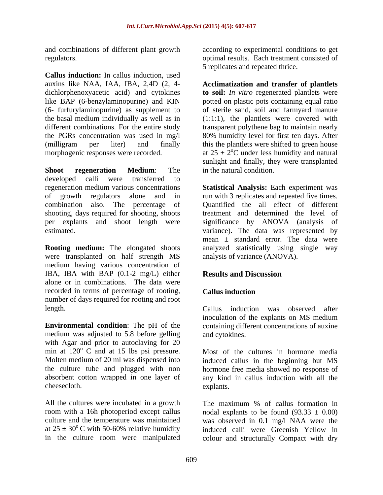and combinations of different plant growth

**Callus induction:** In callus induction, used dichlorphenoxyacetic acid) and cytokines like BAP (6-benzylaminopurine) and KIN

**Shoot regeneration Medium**: The developed calli were transferred to shooting, days required for shooting, shoots

were transplanted on half strength MS medium having various concentration of IBA, IBA with BAP (0.1-2 mg/L) either **Results and Discussion** alone or in combinations. The data were recorded in terms of percentage of rooting, Callus induction number of days required for rooting and root

**Environmental condition**: The pH of the containing different concentrations of auxine medium was adjusted to 5.8 before gelling with Agar and prior to autoclaving for 20 min at  $120^{\circ}$  C and at 15 lbs psi pressure. min at  $120^{\circ}$  C and at 15 lbs psi pressure. Most of the cultures in hormone media

regulators. optimal results. Each treatment consisted of according to experimental conditions to get 5 replicates and repeated thrice.

auxins like NAA, IAA, IBA, 2,4D (2, 4- **Acclimatization and transfer of plantlets** (6- furfurylaminopurine) as supplement to of sterile sand, soil and farmyard manure the basal medium individually as well as in (1:1:1), the plantlets were covered with different combinations. For the entire study transparent polythene bag to maintain nearly the PGRs concentration was used in mg/l 80% humidity level for first ten days. After (milligram per liter) and finally this the plantlets were shifted to green house morphogenic responses were recorded.  $\alpha$  at  $25 + 2^{\circ}$ C under less humidity and natural **to soil:** *In vitro* regenerated plantlets were potted on plastic pots containing equal ratio sunlight and finally, they were transplanted in the natural condition.

regeneration medium various concentrations **Statistical Analysis:** Each experiment was of growth regulators alone and in run with 3 replicates and repeated five times. combination also. The percentage of Quantified the all effect of different per explants and shoot length were significance by ANOVA (analysis of estimated. variance). The data was represented by **Rooting medium:** The elongated shoots analyzed statistically using single way treatment and determined the level of mean  $\pm$  standard error. The data were analysis of variance (ANOVA).

# **Results and Discussion**

# **Callus induction**

length. Callus induction was observed after Callus induction was observed after inoculation of the explants on MS medium and cytokines.

Molten medium of 20 ml was dispensed into induced callus in the beginning but MS the culture tube and plugged with non hormone free media showed no response of absorbent cotton wrapped in one layer of any kind in callus induction with all the cheesecloth. explants. explants.

All the cultures were incubated in a growth The maximum % of callus formation in room with a 16h photoperiod except callus a nodal explants to be found  $(93.33 \pm 0.00)$ culture and the temperature was maintained was observed in 0.1 mg/l NAA were the at  $25 \pm 30^{\circ}$  C with 50-60% relative humidity induced calli were Greenish Yellow in  $\rm ^{o}$ C with 50-60% relative humidity induced calli were Greenish Yellow in in the culture room were manipulated colour and structurally Compact with dry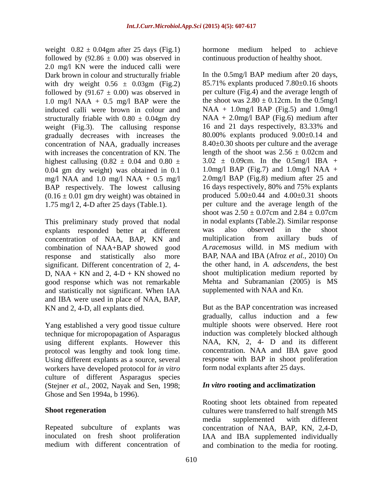weight  $0.82 \pm 0.04$ gm after 25 days (Fig.1) hormone medium helped to achieve followed by  $(92.86 \pm 0.00)$  was observed in 2.0 mg/l KN were the induced calli were Dark brown in colour and structurally friable with dry weight  $0.56 \pm 0.03$ gm (Fig.2) 1.0 mg/l NAA + 0.5 mg/l BAP were the structurally friable with  $0.80 \pm 0.04$ gm dry  $NAA + 2.0$ mg/l BAP (Fig.6) medium after weight (Fig.3). The callusing response 16 and 21 days respectively, 83.33% and weight (Fig.3). The callusing response gradually decreases with increases the concentration of NAA, gradually increases with increases the concentration of KN. The highest callusing  $(0.82 \pm 0.04$  and  $0.80 \pm 1.00$ 0.04 gm dry weight) was obtained in 0.1 mg/l NAA and 1.0 mg/l NAA + 0.5 mg/l BAP respectively. The lowest callusing  $(0.16 \pm 0.01$  gm dry weight) was obtained in

This preliminary study proved that nodal in nodal explants (Table.<br>
explants responded better at different was also observed explants responded better at different was also observed in the shoot combination of NAA+BAP showed good response and statistically also more significant. Different concentration of 2, 4- D,  $NAA + KN$  and 2,  $4-D + KN$  showed no good response which was not remarkable and statistically not significant. When IAA and IBA were used in place of NAA, BAP, KN and 2, 4-D, all explants died.

Yang established a very good tissue culture technique for micropopagation of Asparagus using different explants. However this Using different explants as a source, several workers have developed protocol for *in vitro* culture of different Asparagus species (Stejner *et al.,* 2002, Nayak and Sen, 1998; Ghose and Sen 1994a, b 1996).

hormone medium helped to achieve continuous production of healthy shoot.

followed by  $(91.67 \pm 0.00)$  was observed in per culture (Fig.4) and the average length of induced calli were brown in colour and NAA + 1.0mg/l BAP (Fig.5) and 1.0mg/l 1.75 mg/l 2, 4-D after 25 days (Table.1). per culture and the average length of the shoot was  $2.50 \pm 0.07$ cm and  $2.84 \pm 0.07$ cm concentration of NAA, BAP, KN and In the 0.5mg/l BAP medium after 20 days, 85.71% explants produced 7.80±0.16 shoots the shoot was  $2.80 \pm 0.12$ cm. In the 0.5mg/l  $NAA + 2.0$ mg/l BAP (Fig.6) medium after 16 and 21 days respectively, 83.33% and 80.00% explants produced 9.00±0.14 and 8.40±0.30 shoots per culture and the average length of the shoot was  $2.56 \pm 0.02$ cm and  $3.02 \pm 0.09$ cm. In the  $0.5$ mg/l IBA + 1.0mg/l BAP (Fig.7) and 1.0mg/l NAA  $+$ 2.0mg/l BAP (Fig.8) medium after 25 and 16 days respectively, 80% and 75% explants produced  $5.00\pm0.44$  and  $4.00\pm0.31$  shoots per culture and the average length of the shoot was  $2.50 \pm 0.07$ cm and  $2.84 \pm 0.07$ cm in nodal explants (Table.2). Similar response was also observed in the shoot multiplication from axillary buds of *A.racemosus* willd. in MS medium with BAP, NAA and IBA (Afroz *et al.,* 2010) On the other hand, in *A. adscendens,* the best shoot multiplication medium reported by Mehta and Subramanian (2005) is MS supplemented with NAA and Kn.

protocol was lengthy and took long time. concentration. NAA and IBA gave good But as the BAP concentration was increased gradually, callus induction and a few multiple shoots were observed. Here root induction was completely blocked although NAA, KN, 2, 4- D and its different response with BAP in shoot proliferation form nodal explants after 25 days.

### *In vitro* **rooting and acclimatization**

Shoot regeneration **Shoot regeneration** cultures were transferred to half strength MS Repeated subculture of explants was concentration of NAA, BAP, KN, 2,4-D, inoculated on fresh shoot proliferation IAA and IBA supplemented individually medium with different concentration of and combination to the media for rooting.Rooting shoot lets obtained from repeated media supplemented with different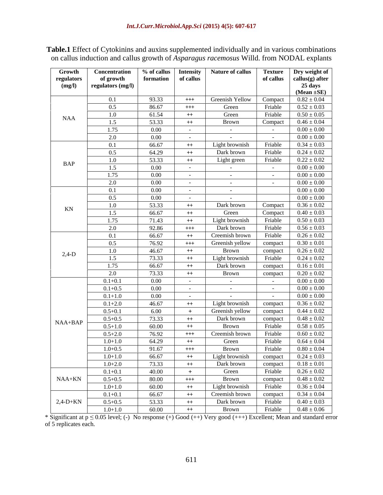**Table.1** Effect of Cytokinins and auxins supplemented individually and in various combinations on callus induction and callus growth of *Asparagus racemosus* Willd. from NODAL explants

| Growth<br>regulators | <b>Concentration</b><br>of growth | % of calls<br>formation   of callus |                   | Intensity   Nature of callus                         | Texture<br>of callus | Dry weight of<br>callus(g) after |
|----------------------|-----------------------------------|-------------------------------------|-------------------|------------------------------------------------------|----------------------|----------------------------------|
| (mg/l)               | regulators (mg/l)                 |                                     |                   |                                                      |                      | 25 days                          |
|                      |                                   |                                     |                   |                                                      |                      | $(Mean \pm SE)$                  |
|                      | 0.1                               | 93.33                               | $^{+++}$          | Greenish Yellow                                      | Compact              | $0.82 \pm 0.04$                  |
|                      | 0.5                               | 86.67                               | $^{+++}$          | Green                                                | Friable              | $0.52 \pm 0.03$                  |
| <b>NAA</b>           | 1.0                               | 61.54                               | $++$              | Green                                                | Friable              | $0.50 \pm 0.05$                  |
|                      | 1.5                               | 53.33                               | $++$              | Brown                                                | Compact              | $0.46 \pm 0.04$                  |
|                      | 1.75                              | $0.00\,$                            | $\sim$ 100 $\mu$  | <b>Contract Contract</b>                             | $\sim$ $-$           | $0.00\pm0.00$                    |
|                      | 2.0                               | $0.00\,$                            | $\sim$ 100 $\sim$ | <b>Contract Contract</b>                             | $\sim$ $-$           | $0.00\pm0.00$                    |
|                      | 0.1                               | 66.67                               | $++$              | Light brownish                                       | Friable              | $0.34 \pm 0.03$                  |
|                      | 0.5                               | 64.29                               | $++$              | Dark brown                                           | Friable              | $0.24 \pm 0.02$                  |
| BAP                  | 1.0                               | 53.33                               | $++$              | Light green                                          | Friable              | $0.22 \pm 0.02$                  |
|                      | 1.5                               | $0.00\,$                            | $\sim$ $-$        | <b>Common</b>                                        | $\sim 1000$          | $0.00\pm0.00$                    |
|                      | 1.75                              | $0.00\,$                            | $\sim 10^{-11}$   | $\alpha$ , $\alpha$ , $\alpha$ , $\alpha$ , $\alpha$ | $\sim 1000$          | $0.00\pm0.00$                    |
|                      | 2.0                               | $0.00\,$                            | $\sim 10^{-11}$   | $\alpha$ , $\alpha$ , $\alpha$ , $\alpha$ , $\alpha$ | $\sim 1000$          | $0.00\pm0.00$                    |
|                      | 0.1                               | $0.00\,$                            | $\sim 10^{-10}$   | $\alpha$ , $\alpha$ , $\alpha$ , $\alpha$ , $\alpha$ |                      | $0.00 \pm 0.00$                  |
|                      | 0.5                               | $0.00\,$                            | $\sim 10^{-10}$   | <b>Contractor</b>                                    |                      | $0.00\pm0.00$                    |
| KN                   | 1.0                               | 53.33                               | $++$              | Dark brown                                           | Compact              | $0.36 \pm 0.02$                  |
|                      | 1.5                               | 66.67                               | $++$              | Green                                                | Compact              | $0.40 \pm 0.03$                  |
|                      | 1.75                              | 71.43                               | $++$              | Light brownish                                       | Friable              | $0.50 \pm 0.03$                  |
|                      | 2.0                               | 92.86                               | $^{+++}$          | Dark brown                                           | Friable              | $0.56 \pm 0.03$                  |
|                      | 0.1                               | 66.67                               | $++$              | Creemish brown                                       | Friable              | $0.26 \pm 0.02$                  |
|                      | 0.5                               | 76.92                               | $^{+++}$          | Greenish yellow                                      | compact              | $0.30 \pm 0.01$                  |
| $2,4-D$              | 1.0                               | 46.67                               | $^{++}$           | Brown                                                | compact              | $0.26 \pm 0.02$                  |
|                      | 1.5                               | 73.33                               | $++$              | Light brownish                                       | Friable              | $0.24 \pm 0.02$                  |
|                      | 1.75                              | 66.67                               | $^{++}$           | Dark brown                                           | compact              | $0.16 \pm 0.01$                  |
|                      | 2.0                               | 73.33                               | $^{++}$           | Brown                                                | compact              | $0.20 \pm 0.02$                  |
|                      | $0.1 + 0.1$                       | $0.00\,$                            | $\sim$ 100 $\mu$  | <b>Contract Contract</b>                             | $\sim$ $-$           | $0.00\pm0.00$                    |
|                      | $0.1 + 0.5$                       | $0.00\,$                            | $\sim 10^{-10}$   | <b>Committee State</b>                               | $\sim 100$ m $^{-1}$ | $0.00\pm0.00$                    |
|                      | $0.1 + 1.0$                       | $0.00\,$                            | $\sim$ $-$        | <b>Contract Contract</b>                             | $\sim$ $-$           | $0.00\pm0.00$                    |
|                      | $0.1 + 2.0$                       | 46.67                               | $++$              | Light brownish                                       | compact              | $0.36 \pm 0.02$                  |
|                      | $0.5 + 0.1$                       | 6.00                                | $+$               | Greenish yellow                                      | compact              | $0.44 \pm 0.02$                  |
| $NAA+BAP$            | $0.5 + 0.5$                       | 73.33                               | $++$              | Dark brown                                           | compact              | $0.48 \pm 0.02$                  |
|                      | $0.5 + 1.0$                       | 60.00                               | $++$              | Brown                                                | Friable              | $0.58 \pm 0.05$                  |
|                      | $0.5 + 2.0$                       | 76.92                               | $^{+++}$          | Creemish brown                                       | Friable              | $0.60 \pm 0.02$                  |
|                      | $1.0 + 1.0$                       | 64.29                               | $++$              | Green                                                | Friable              | $0.64 \pm 0.04$                  |
|                      | $1.0 + 0.5$                       | 91.67                               | $^{+++}$          | Brown                                                | Friable              | $0.80 \pm 0.04$                  |
|                      | $1.0 + 1.0$                       | 66.67                               | $++$              | Light brownish                                       | compact              | $0.24 \pm 0.03$                  |
|                      | $1.0 + 2.0$                       | 73.33                               | $++$              | Dark brown                                           | compact              | $0.18 \pm 0.01$                  |
|                      | $0.1 + 0.1$                       | 40.00                               | $+$               | Green                                                | Friable              | $0.26 \pm 0.02$                  |
| NAA+KN               | $0.5 + 0.5$                       | 80.00                               | $+++$             | Brown                                                | compact              | $0.48 \pm 0.02$                  |
|                      | $1.0 + 1.0$                       | 60.00                               | $++$              | Light brownish                                       | Friable              | $0.36 \pm 0.04$                  |
|                      | $0.1 + 0.1$                       | 66.67                               | $++$              | Creemish brown                                       | compact              | $0.34 \pm 0.04$                  |
| $2,4-D+KN$           | $0.5 + 0.5$                       | 53.33                               | $++$              | Dark brown                                           | Friable              | $0.40 \pm 0.03$                  |
|                      | $1.0 + 1.0$                       | 60.00                               | $++$              | Brown                                                | Friable              | $0.48 \pm 0.06$                  |

\* Significant at  $p \le 0.05$  level; (-) No response (+) Good (++) Very good (+++) Excellent; Mean and standard error of 5 replicates each.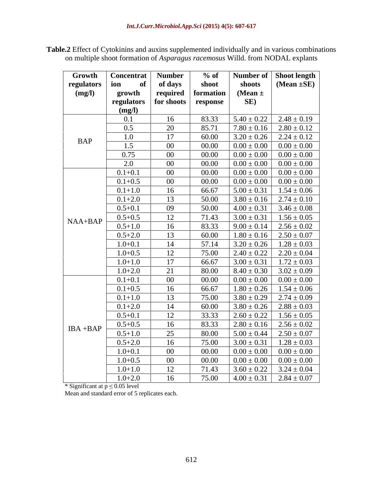| <b>Table.2</b> Effect of Cytokinins and auxins supplemented individually an<br>v and in various combinations |  |
|--------------------------------------------------------------------------------------------------------------|--|
| on multiple shoot formation of <i>Asparagus racemosus</i> Willd. from NODAL explants                         |  |

| Growth      | <b>Concentrat</b> | <b>Number</b> | $%$ of    |                 | Number of Shoot length            |
|-------------|-------------------|---------------|-----------|-----------------|-----------------------------------|
| regulators  | ion<br>of         | of days       | shoot     | shoots          | (Mean $\pm$ SE)                   |
| (mg/l)      | growth            | required      | formation | (Mean $\pm$     |                                   |
|             | regulators        | for shoots    | response  | SE)             |                                   |
|             | (mg/l)            |               |           |                 |                                   |
|             | 0.1               | 16            | 83.33     |                 | $5.40 \pm 0.22$ 2.48 $\pm$ 0.19   |
|             | 0.5               | 20            | 85.71     |                 | $7.80 \pm 0.16$ $2.80 \pm 0.12$   |
| <b>BAP</b>  | 1.0               | 17            | 60.00     | $3.20 \pm 0.26$ | $2.24 \pm 0.12$                   |
|             | 1.5               | $00\,$        | 00.00     | $0.00 \pm 0.00$ | $0.00 \pm 0.00$                   |
|             | 0.75              | $00\,$        | 00.00     | $0.00 \pm 0.00$ | $0.00\pm0.00$                     |
|             | 2.0               | $00\,$        | 00.00     | $0.00 \pm 0.00$ | $0.00\pm0.00$                     |
|             | $0.1 + 0.1$       | $00\,$        | 00.00     | $0.00 \pm 0.00$ | $0.00\pm0.00$                     |
|             | $0.1 + 0.5$       | $00\,$        | 00.00     | $0.00 \pm 0.00$ | $0.00 \pm 0.00$                   |
|             | $0.1 + 1.0$       | 16            | 66.67     | $5.00 \pm 0.31$ | $1.54 \pm 0.06$                   |
|             | $0.1 + 2.0$       | 13            | 50.00     | $3.80 \pm 0.16$ | $2.74 \pm 0.10$                   |
|             | $0.5 + 0.1$       | 09            | 50.00     |                 | $4.00 \pm 0.31$ 3.46 $\pm$ 0.08   |
|             | $0.5 + 0.5$       | 12            | 71.43     |                 | $3.00 \pm 0.31$   $1.56 \pm 0.05$ |
| $NAA+BAP$   | $0.5 + 1.0$       | 16            | 83.33     |                 | $9.00 \pm 0.14$   2.56 $\pm$ 0.02 |
|             | $0.5 + 2.0$       | 13            | 60.00     |                 | $1.80 \pm 0.16$   $2.50 \pm 0.07$ |
|             | $1.0 + 0.1$       | 14            | 57.14     | $3.20 \pm 0.26$ | $1.28 \pm 0.03$                   |
|             | $1.0 + 0.5$       | 12            | 75.00     |                 | $2.40 \pm 0.22$   $2.20 \pm 0.04$ |
|             | $1.0 + 1.0$       | 17            | 66.67     | $3.00 \pm 0.31$ | $1.72 \pm 0.03$                   |
|             | $1.0 + 2.0$       | 21            | 80.00     | $8.40 \pm 0.30$ | $3.02 \pm 0.09$                   |
|             | $0.1 + 0.1$       | $00\,$        | 00.00     | $0.00 \pm 0.00$ | $0.00 \pm 0.00$                   |
|             | $0.1 + 0.5$       | 16            | 66.67     |                 | $1.80 \pm 0.26$   $1.54 \pm 0.06$ |
|             | $0.1 + 1.0$       | 13            | 75.00     |                 | $3.80 \pm 0.29$   $2.74 \pm 0.09$ |
|             | $0.1 + 2.0$       | 14            | 60.00     |                 | $3.80 \pm 0.26$   $2.88 \pm 0.03$ |
|             | $0.5 + 0.1$       | 12            | 33.33     | $2.60 \pm 0.22$ | $1.56 \pm 0.05$                   |
|             | $0.5 + 0.5$       | 16            | 83.33     | $2.80 \pm 0.16$ | $2.56 \pm 0.02$                   |
| $IBA + BAP$ | $0.5 + 1.0$       | 25            | 80.00     | $5.00 \pm 0.44$ | $2.50 \pm 0.07$                   |
|             | $0.5 + 2.0$       | 16            | 75.00     | $3.00 \pm 0.31$ | $1.28 \pm 0.03$                   |
|             | $1.0 + 0.1$       | $00\,$        | 00.00     | $0.00 \pm 0.00$ | $0.00 \pm 0.00$                   |
|             | $1.0 + 0.5$       | $00\,$        | 00.00     | $0.00 \pm 0.00$ | $0.00 \pm 0.00$                   |
|             |                   |               | 71.43     |                 |                                   |
|             | $1.0 + 1.0$       | 12            |           |                 | $3.60 \pm 0.22$   $3.24 \pm 0.04$ |
|             | $1.0 + 2.0$       | 16            | 75.00     |                 | $4.00 \pm 0.31$   2.84 $\pm$ 0.07 |

\* Significant at  $p \le 0.05$  level

Mean and standard error of 5 replicates each.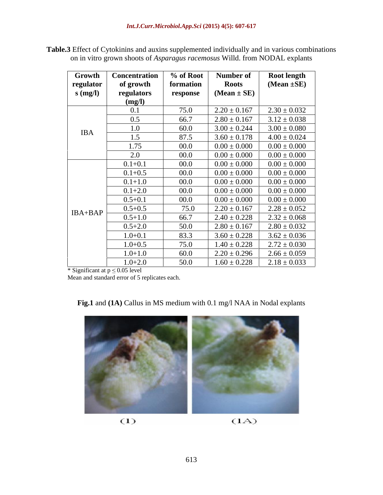**Table.3** Effect of Cytokinins and auxins supplemented individually and in various combinations on in vitro grown shoots of *Asparagus racemosus* Willd. from NODAL explants

| Growth     | <b>Concentration</b> | % of Root | Number of        | <b>Root length</b> |
|------------|----------------------|-----------|------------------|--------------------|
| regulator  | of growth            | formation | <b>Roots</b>     | $(Mean \pm SE)$    |
| $s$ (mg/l) | regulators           | response  | $(Mean \pm SE)$  |                    |
|            | (mg/l)               |           |                  |                    |
|            | 0.1                  | 75.0      | $2.20 \pm 0.167$ | $2.30 \pm 0.032$   |
|            | 0.5                  | 66.7      | $2.80 \pm 0.167$ | $3.12 \pm 0.038$   |
| <b>IBA</b> | 1.0                  | 60.0      | $3.00 \pm 0.244$ | $3.00 \pm 0.080$   |
|            | 1.5                  | 87.5      | $3.60 \pm 0.178$ | $4.00 \pm 0.024$   |
|            | 1.75                 | 00.0      | $0.00 \pm 0.000$ | $0.00\pm0.000$     |
|            | 2.0                  | 00.0      | $0.00\pm0.000$   | $0.00\pm0.000$     |
|            | $0.1 + 0.1$          | 00.0      | $0.00 \pm 0.000$ | $0.00\pm0.000$     |
|            | $0.1 + 0.5$          | 00.0      | $0.00 \pm 0.000$ | $0.00\pm0.000$     |
|            | $0.1 + 1.0$          | 00.0      | $0.00 \pm 0.000$ | $0.00 \pm 0.000$   |
|            | $0.1 + 2.0$          | 00.0      | $0.00 \pm 0.000$ | $0.00\pm0.000$     |
|            | $0.5 + 0.1$          | 00.0      | $0.00 \pm 0.000$ | $0.00\pm0.000$     |
| $IBA+BAP$  | $0.5 + 0.5$          | 75.0      | $2.20 \pm 0.167$ | $2.28 \pm 0.052$   |
|            | $0.5 + 1.0$          | 66.7      | $2.40 \pm 0.228$ | $2.32 \pm 0.068$   |
|            | $0.5 + 2.0$          | 50.0      | $2.80 \pm 0.167$ | $2.80 \pm 0.032$   |
|            | $1.0 + 0.1$          | 83.3      | $3.60 \pm 0.228$ | $3.62 \pm 0.036$   |
|            | $1.0 + 0.5$          | 75.0      | $1.40 \pm 0.228$ | $2.72 \pm 0.030$   |
|            | $1.0 + 1.0$          | 60.0      | $2.20 \pm 0.296$ | $2.66 \pm 0.059$   |
|            | $1.0 + 2.0$          | 50.0      | $1.60 \pm 0.228$ | $2.18 \pm 0.033$   |

\* Significant at  $p \le 0.05$  level

Mean and standard error of 5 replicates each.

**Fig.1** and **(1A)** Callus in MS medium with 0.1 mg/l NAA in Nodal explants

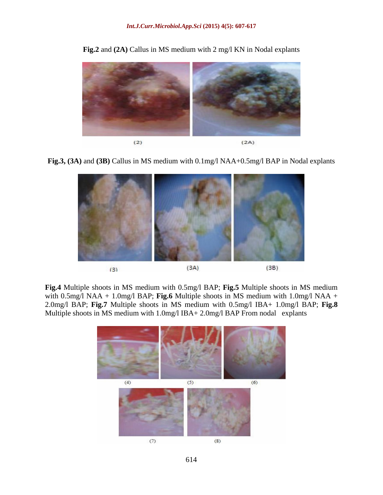

**Fig.2** and **(2A)** Callus in MS medium with 2 mg/l KN in Nodal explants

**Fig.3, (3A)** and **(3B)** Callus in MS medium with 0.1mg/l NAA+0.5mg/l BAP in Nodal explants



**Fig.4** Multiple shoots in MS medium with 0.5mg/l BAP; **Fig.5** Multiple shoots in MS medium with 0.5mg/l NAA + 1.0mg/l BAP; **Fig.6** Multiple shoots in MS medium with 1.0mg/l NAA + 2.0mg/l BAP; **Fig.7** Multiple shoots in MS medium with 0.5mg/l IBA+ 1.0mg/l BAP; **Fig.8** Multiple shoots in MS medium with 1.0mg/l IBA+ 2.0mg/l BAP From nodal explants

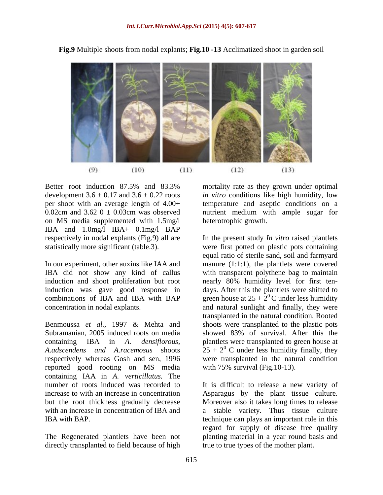

**Fig.9** Multiple shoots from nodal explants; **Fig.10 -13** Acclimatized shoot in garden soil

Better root induction 87.5% and 83.3% mortality rate as they grown under optimal development  $3.6 \pm 0.17$  and  $3.6 \pm 0.22$  roots *in vitro* conditions like high humidity, low per shoot with an average length of  $4.00<sub>+</sub>$  temperature and aseptic conditions on a 0.02cm and 3.62  $0 \pm 0.03$ cm was observed nutrient medium with ample sugar for on MS media supplemented with 1.5mg/l IBA and 1.0mg/l IBA+ 0.1mg/l BAP<br>respectively in nodal explants (Fig.9) all are

induction was gave good response in

Benmoussa *et al.,* 1997 & Mehta and shoots were transplanted to the plastic pots Subramanian, 2005 induced roots on media showed 83% of survival. After this the containing IBA in *A. densiflorous,* plantlets were transplanted to green house at *A.adscendens and A.racemosus* shoots  $25 + 2^0$  C under less humidity finally, they respectively whereas Gosh and sen, 1996 were transplanted in the natural condition reported good rooting on MS media containing IAA in *A. verticillatus.* The number of roots induced was recorded to It is difficult to release a new variety of increase to with an increase in concentration Asparagus by the plant tissue culture. but the root thickness gradually decrease Moreover also it takes long times to release with an increase in concentration of IBA and a stable variety. Thus tissue culture IBA with BAP. technique can plays an important role in this

directly transplanted to field because of high

heterotrophic growth.

respectively in nodal explants (Fig.9) all are In the present study *In vitro* raised plantlets statistically more significant (table.3). were first potted on plastic pots containing In our experiment, other auxins like IAA and manure (1:1:1), the plantlets were covered IBA did not show any kind of callus with transparent polythene bag to maintain induction and shoot proliferation but root nearly 80% humidity level for first ten combinations of IBA and IBA with BAP green house at  $25 + 2^{0}$ C under less humidity concentration in nodal explants. and natural sunlight and finally, they were equal ratio of sterile sand, soil and farmyard days. After this the plantlets were shifted to transplanted in the natural condition. Rooted with 75% survival (Fig. 10-13).

The Regenerated plantlets have been not planting material in a year round basis and regard for supply of disease free quality true to true types of the mother plant.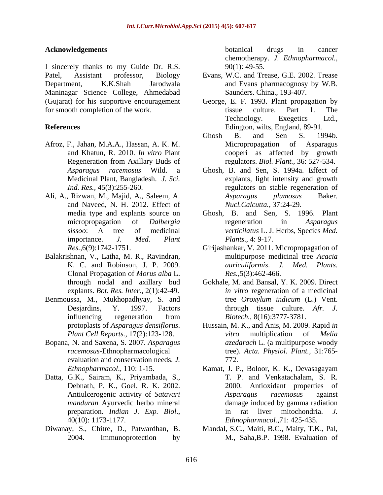I sincerely thanks to my Guide Dr. R.S. 90(1): 49-55. Patel, Assistant professor, Biology Evans, W.C. and Trease, G.E. 2002. Trease Department, K.K.Shah Jarodwala and Evans pharmacognosy by W.B. Maninagar Science College, Ahmedabad (Gujarat) for his supportive encouragement George, E. F. 1993. Plant propagation by for smooth completion of the work. tissue culture. Part 1. The

- 
- and Naveed, N. H. 2012. Effect of
- Balakrishnan, V., Latha, M. R., Ravindran, Clonal Propagation of *Morus alba* L.
- Benmoussa, M., Mukhopadhyay, S. and tree Oroxylum indicum (L.) Vent. influencing regeneration from *Biotech.*, 8(16):3777-3781.
- Bopana, N. and Saxena, S. 2007. *Asparagus*  evaluation and conservation needs. *J.*
- Datta, G.K., Sairam, K., Priyambada, S.,
- 

**Acknowledgements Acknowledgements Acknowledgements Acknowledgements Acknowledgements Acknowledgements Acknowledgements Acknowledgements Acknowledgements Acknowledgements Acknowledgements Acknowledgem** botanical drugs in cancer chemotherapy. *J. Ethnopharmacol.*,

- Saunders. China., 193-407.
- **References** Edington, wilts, England, 89-91. tissue culture. Part 1. The Technology. Exegetics Ltd.,
- Afroz, F., Jahan, M.A.A., Hassan, A. K. M. and Khatun, R. 2010. *In vitro* Plant cooperi as affected by growth Regeneration from Axillary Buds of regulators. Biol. Plant., 36: 527-534. Ghosh B. and Sen S. 1994b. Micropropagation of Asparagus regulators. *Biol. Plant.,* 36: 527-534.
- *Asparagus racemosus* Wild. a Ghosh, B. and Sen, S. 1994a. Effect of Medicinal Plant, Bangladesh. *J. Sci.* explants, light intensity and growth *Ind. Res.*, 45(3):255-260. The regulators on stable regeneration of Ali, A., Rizwan, M., Majid, A., Saleem, A. *Asparagus plumosus* Baker. *Nucl.Calcutta.,* 37:24-29.
	- media type and explants source on Ghosh, B. and Sen, S. 1996. Plant micropropagation of *Dalbergia sissoo*: A tree of medicinal *verticilatus* L. J. Herbs, Species *Med.*  importance. *J. Med. Plant* regeneration in *Asparagus Plants*., 4: 9-17.
	- *Res.,*6(9):1742-1751. Girijashankar, V. 2011. Micropropagation of K. C. and Robinson, J. P. 2009. *auriculiformis*. *J. Med. Plants.* multipurpose medicinal tree *Acacia Res.,*5(3):462-466.
	- through nodal and axillary bud Gokhale, M. and Bansal, Y. K. 2009. Direct explants. *Bot. Res. Inter.,* 2(1):42-49. *in vitro* regeneration of a medicinal Desjardins, Y. 1997. Factors through tissue culture. *Afr. J.* tree *Oroxylum indicum* (L.) Vent. *Biotech.,* 8(16):3777-3781.
	- protoplasts of *Asparagus densiflorus*. Hussain, M. K., and Anis, M. 2009. Rapid *in Plant Cell Reports.,* 17(2):123-128. *vitro* multiplication of *Melia racemosus*-Ethnopharmacological tree). *Acta. Physiol. Plant.,* 31:765 *vitro* multiplication of *Melia azedarach* L. (a multipurpose woody 772.
	- *Ethnopharmacol*., 110: 1-15. Kamat, J. P., Boloor, K. K., Devasagayam Debnath, P. K., Goel, R. K. 2002. 2000. Antioxidant properties of Antiulcerogenic activity of *Satavari manduran* Ayurvedic herbo mineral damage induced by gamma radiation preparation. *Indian J. Exp. Biol.*, <br>40(10): 1173-1177. <br>*Ethnopharmacol.*,71: 425-435. T. P. and Venkatachalam, S. R. *Asparagus racemosu*s against in rat liver mitochondria. *J. Ethnopharmacol.,*71: 425-435.
- Diwanay, S., Chitre, D., Patwardhan, B. Mandal, S.C., Maiti, B.C., Maity, T.K., Pal, 2004. Immunoprotection by M., Saha,B.P. 1998. Evaluation of